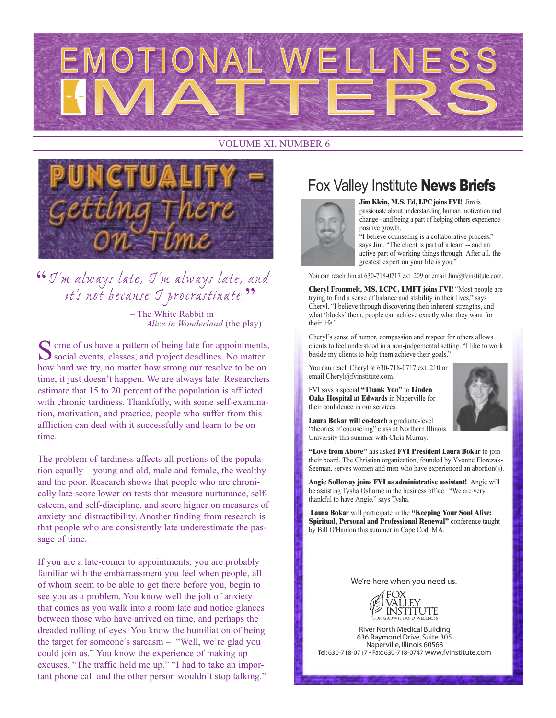

#### VOLUME XI, NUMBER 6



## "I'm always late, I'm always late, and it's not because I procrastinate. " – The White Rabbit in

*Alice in Wonderland* (the play)

 $\Omega$  ome of us have a pattern of being late for appointments,  $\sum$  social events, classes, and project deadlines. No matter how hard we try, no matter how strong our resolve to be on time, it just doesn't happen. We are always late. Researchers estimate that 15 to 20 percent of the population is afflicted with chronic tardiness. Thankfully, with some self-examination, motivation, and practice, people who suffer from this affliction can deal with it successfully and learn to be on time.

The problem of tardiness affects all portions of the population equally – young and old, male and female, the wealthy and the poor. Research shows that people who are chronically late score lower on tests that measure nurturance, selfesteem, and self-discipline, and score higher on measures of anxiety and distractibility. Another finding from research is that people who are consistently late underestimate the passage of time.

If you are a late-comer to appointments, you are probably familiar with the embarrassment you feel when people, all of whom seem to be able to get there before you, begin to see you as a problem. You know well the jolt of anxiety that comes as you walk into a room late and notice glances between those who have arrived on time, and perhaps the dreaded rolling of eyes. You know the humiliation of being the target for someone's sarcasm – "Well, we're glad you could join us." You know the experience of making up excuses. "The traffic held me up." "I had to take an important phone call and the other person wouldn't stop talking."

## Fox Valley Institute **News Briefs**



**Jim Klein, M.S. Ed, LPC joins FVI!** Jim is passionate about understanding human motivation and change - and being a part of helping others experience positive growth.

"I believe counseling is a collaborative process," says Jim. "The client is part of a team -- and an active part of working things through. After all, the greatest expert on your life is you."

You can reach Jim at 630-718-0717 ext. 209 or email Jim@fvinstitute.com.

**Cheryl Frommelt, MS, LCPC, LMFT joins FVI!** "Most people are trying to find a sense of balance and stability in their lives," says Cheryl. "I believe through discovering their inherent strengths, and what 'blocks' them, people can achieve exactly what they want for their life."

Cheryl's sense of humor, compassion and respect for others allows clients to feel understood in a non-judgemental setting. "I like to work beside my clients to help them achieve their goals."

You can reach Cheryl at 630-718-0717 ext. 210 or email Cheryl@fvinstitute.com.

FVI says a special **"Thank You"** to **Linden Oaks Hospital at Edwards** in Naperville for their confidence in our services.



**Laura Bokar will co-teach** a graduate-level "theories of counseling" class at Northern Illinois University this summer with Chris Murray.

**"Love from Above"** has asked **FVI President Laura Bokar** to join their board. The Christian organization, founded by Yvonne Florczak-Seeman, serves women and men who have experienced an abortion(s).

**Angie Solloway joins FVI as administrative assistant!** Angie will be assisting Tysha Osborne in the business office. "We are very thankful to have Angie," says Tysha.

**Laura Bokar** will participate in the **"Keeping Your Soul Alive: Spiritual, Personal and Professional Renewal"** conference taught by Bill O'Hanlon this summer in Cape Cod, MA.

*We're here when you need us.*



**River North Medical Building** 636 Raymond Drive, Suite 305 Naperville, Illinois 60563 Tel: 630-718-0717 • Fax: 630-718-0747 *www.fvinstitute.com*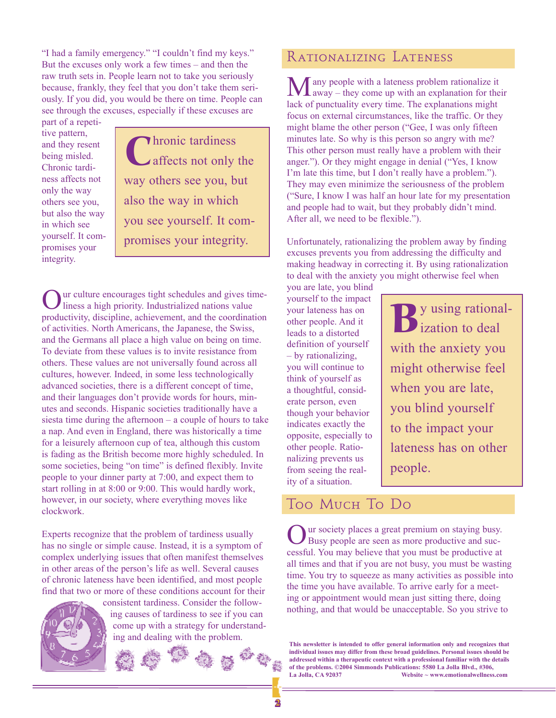"I had a family emergency." "I couldn't find my keys." But the excuses only work a few times – and then the raw truth sets in. People learn not to take you seriously because, frankly, they feel that you don't take them seriously. If you did, you would be there on time. People can see through the excuses, especially if these excuses are

part of a repetitive pattern, and they resent being misled. Chronic tardiness affects not only the way others see you, but also the way in which see yourself. It compromises your integrity.

Chronic tardiness affects not only the way others see you, but also the way in which you see yourself. It compromises your integrity.

Our culture encourages tight schedules and gives time-liness a high priority. Industrialized nations value productivity, discipline, achievement, and the coordination of activities. North Americans, the Japanese, the Swiss, and the Germans all place a high value on being on time. To deviate from these values is to invite resistance from others. These values are not universally found across all cultures, however. Indeed, in some less technologically advanced societies, there is a different concept of time, and their languages don't provide words for hours, minutes and seconds. Hispanic societies traditionally have a siesta time during the afternoon – a couple of hours to take a nap. And even in England, there was historically a time for a leisurely afternoon cup of tea, although this custom is fading as the British become more highly scheduled. In some societies, being "on time" is defined flexibly. Invite people to your dinner party at 7:00, and expect them to start rolling in at 8:00 or 9:00. This would hardly work, however, in our society, where everything moves like clockwork.

Experts recognize that the problem of tardiness usually has no single or simple cause. Instead, it is a symptom of complex underlying issues that often manifest themselves in other areas of the person's life as well. Several causes of chronic lateness have been identified, and most people find that two or more of these conditions account for their



consistent tardiness. Consider the following causes of tardiness to see if you can come up with a strategy for understanding and dealing with the problem.



### Rationalizing Lateness

**M** any people with a lateness problem rationalize it away – they come up with an explanation for their lack of punctuality every time. The explanations might focus on external circumstances, like the traffic. Or they might blame the other person ("Gee, I was only fifteen minutes late. So why is this person so angry with me? This other person must really have a problem with their anger."). Or they might engage in denial ("Yes, I know I'm late this time, but I don't really have a problem."). They may even minimize the seriousness of the problem ("Sure, I know I was half an hour late for my presentation and people had to wait, but they probably didn't mind. After all, we need to be flexible.").

Unfortunately, rationalizing the problem away by finding excuses prevents you from addressing the difficulty and making headway in correcting it. By using rationalization to deal with the anxiety you might otherwise feel when

you are late, you blind yourself to the impact your lateness has on other people. And it leads to a distorted definition of yourself – by rationalizing, you will continue to think of yourself as a thoughtful, considerate person, even though your behavior indicates exactly the opposite, especially to other people. Rationalizing prevents us from seeing the reality of a situation.

By using rational-<br>ization to deal ization to deal with the anxiety you might otherwise feel when you are late, you blind yourself to the impact your lateness has on other people.

## Too Much To Do

If we society places a great premium on staying busy. Busy people are seen as more productive and successful. You may believe that you must be productive at all times and that if you are not busy, you must be wasting time. You try to squeeze as many activities as possible into the time you have available. To arrive early for a meeting or appointment would mean just sitting there, doing nothing, and that would be unacceptable. So you strive to

**This newsletter is intended to offer general information only and recognizes that individual issues may differ from these broad guidelines. Personal issues should be addressed within a therapeutic context with a professional familiar with the details of the problems. ©2004 Simmonds Publications: 5580 La Jolla Blvd., #306, La Jolla, CA 92037 Website ~ www.emotionalwellness.com**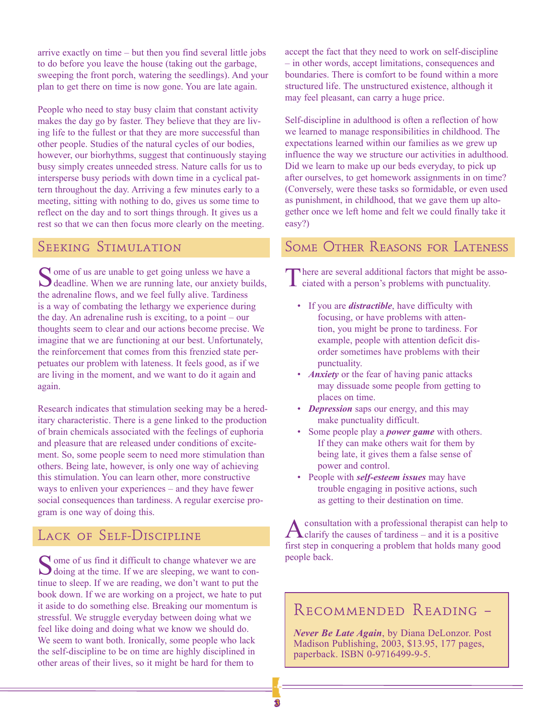arrive exactly on time – but then you find several little jobs to do before you leave the house (taking out the garbage, sweeping the front porch, watering the seedlings). And your plan to get there on time is now gone. You are late again.

People who need to stay busy claim that constant activity makes the day go by faster. They believe that they are living life to the fullest or that they are more successful than other people. Studies of the natural cycles of our bodies, however, our biorhythms, suggest that continuously staying busy simply creates unneeded stress. Nature calls for us to intersperse busy periods with down time in a cyclical pattern throughout the day. Arriving a few minutes early to a meeting, sitting with nothing to do, gives us some time to reflect on the day and to sort things through. It gives us a rest so that we can then focus more clearly on the meeting.

#### SEEKING STIMULATION

Some of us are unable to get going unless we have a deadline. When we are running late, our anxiety builds, the adrenaline flows, and we feel fully alive. Tardiness is a way of combating the lethargy we experience during the day. An adrenaline rush is exciting, to a point – our thoughts seem to clear and our actions become precise. We imagine that we are functioning at our best. Unfortunately, the reinforcement that comes from this frenzied state perpetuates our problem with lateness. It feels good, as if we are living in the moment, and we want to do it again and again.

Research indicates that stimulation seeking may be a hereditary characteristic. There is a gene linked to the production of brain chemicals associated with the feelings of euphoria and pleasure that are released under conditions of excitement. So, some people seem to need more stimulation than others. Being late, however, is only one way of achieving this stimulation. You can learn other, more constructive ways to enliven your experiences – and they have fewer social consequences than tardiness. A regular exercise program is one way of doing this.

## LACK OF SELF-DISCIPLINE

 $\bigcap$  ome of us find it difficult to change whatever we are  $\bigcup$  doing at the time. If we are sleeping, we want to continue to sleep. If we are reading, we don't want to put the book down. If we are working on a project, we hate to put it aside to do something else. Breaking our momentum is stressful. We struggle everyday between doing what we feel like doing and doing what we know we should do. We seem to want both. Ironically, some people who lack the self-discipline to be on time are highly disciplined in other areas of their lives, so it might be hard for them to

accept the fact that they need to work on self-discipline – in other words, accept limitations, consequences and boundaries. There is comfort to be found within a more structured life. The unstructured existence, although it may feel pleasant, can carry a huge price.

Self-discipline in adulthood is often a reflection of how we learned to manage responsibilities in childhood. The expectations learned within our families as we grew up influence the way we structure our activities in adulthood. Did we learn to make up our beds everyday, to pick up after ourselves, to get homework assignments in on time? (Conversely, were these tasks so formidable, or even used as punishment, in childhood, that we gave them up altogether once we left home and felt we could finally take it easy?)

### Some Other Reasons for Lateness

There are several additional factors that might be associated with a person's problems with punctuality.

- If you are *distractible*, have difficulty with focusing, or have problems with attention, you might be prone to tardiness. For example, people with attention deficit disorder sometimes have problems with their punctuality.
- *Anxiety* or the fear of having panic attacks may dissuade some people from getting to places on time.
- *Depression* saps our energy, and this may make punctuality difficult.
- Some people play a *power game* with others. If they can make others wait for them by being late, it gives them a false sense of power and control.
- People with *self-esteem issues* may have trouble engaging in positive actions, such as getting to their destination on time.

consultation with a professional therapist can help to  $\Delta$ clarify the causes of tardiness – and it is a positive first step in conquering a problem that holds many good people back.

## Recommended Reading –

*Never Be Late Again*, by Diana DeLonzor. Post Madison Publishing, 2003, \$13.95, 177 pages, paperback. ISBN 0-9716499-9-5.